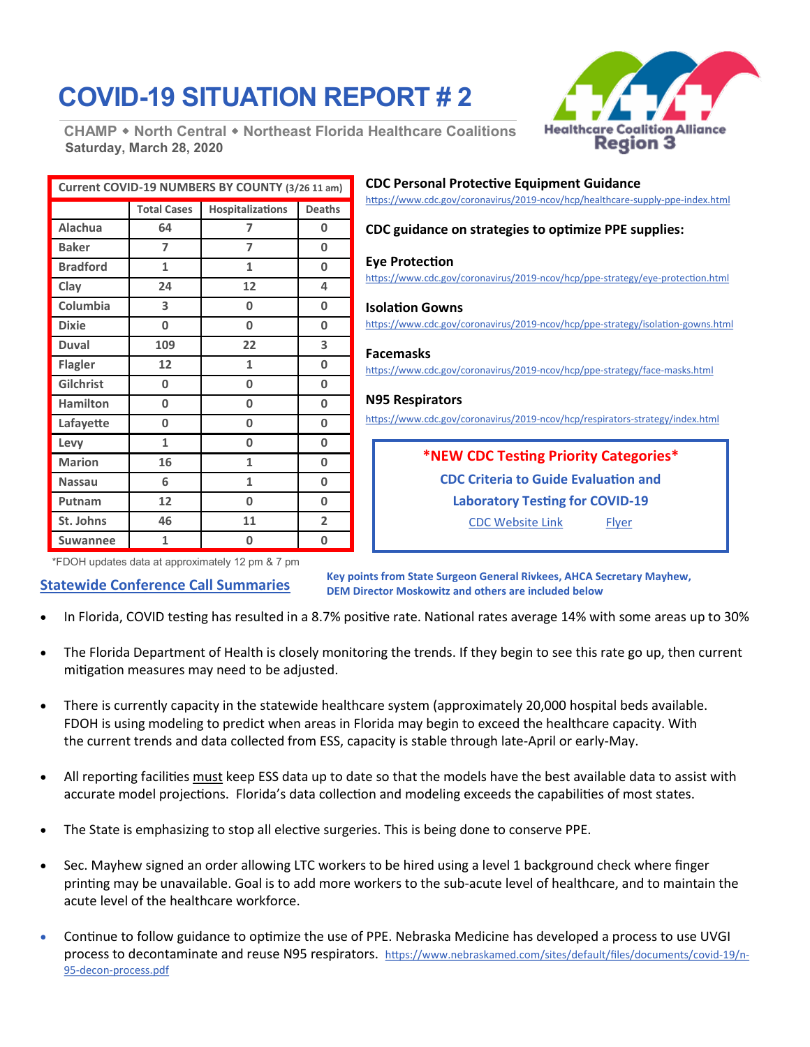# **COVID-19 SITUATION REPORT # 2**

**Saturday, March 28, 2020 CHAMP North Central Northeast Florida Healthcare Coalitions**



| Current COVID-19 NUMBERS BY COUNTY (3/26 11 am) |                    |                  |                | <b>CDC Personal F</b> |
|-------------------------------------------------|--------------------|------------------|----------------|-----------------------|
|                                                 | <b>Total Cases</b> | Hospitalizations | <b>Deaths</b>  | https://www.cdc.gov   |
| Alachua                                         | 64                 | 7                | 0              | <b>CDC</b> guidance   |
| <b>Baker</b>                                    | 7                  | 7                | 0              |                       |
| <b>Bradford</b>                                 | $\mathbf{1}$       | 1                | $\mathbf{0}$   | <b>Eye Protection</b> |
| Clay                                            | 24                 | 12               | 4              | https://www.cdc.gov   |
| Columbia                                        | 3                  | 0                | 0              | <b>Isolation Gowr</b> |
| <b>Dixie</b>                                    | 0                  | 0                | $\bf{0}$       | https://www.cdc.gov   |
| <b>Duval</b>                                    | 109                | 22               | 3              | <b>Facemasks</b>      |
| <b>Flagler</b>                                  | 12                 | $\mathbf{1}$     | 0              | https://www.cdc.gov   |
| Gilchrist                                       | 0                  | 0                | 0              |                       |
| <b>Hamilton</b>                                 | 0                  | 0                | $\bf{0}$       | N95 Respirator        |
| Lafayette                                       | 0                  | 0                | $\Omega$       | https://www.cdc.gov   |
| Levy                                            | 1                  | 0                | 0              |                       |
| <b>Marion</b>                                   | 16                 | 1                | 0              | *NE\                  |
| <b>Nassau</b>                                   | 6                  | 1                | 0              | <b>CD</b>             |
| Putnam                                          | 12                 | 0                | 0              |                       |
| St. Johns                                       | 46                 | 11               | $\overline{2}$ |                       |
| <b>Suwannee</b>                                 | 1                  | O                | 0              |                       |

#### **Protective Equipment Guidance**

https://www.coronavirus/2019-ncov/hcp/healthcare-supply-ppe-index.html

#### **COCO strategies to optimize PPE supplies:**

https://www.coronavirus/2019-ncov/hcp/ppe-strategy/eye-protection.html

#### **Isolation Gowns**

https://www.coronavirus/2019-ncov/hcp/ppe-strategy/isolation-gowns.html

ov/coronavirus/2019-ncov/hcp/ppe-strategy/face-masks.html

#### **N95 Respirators**

https://www.coronavirus/2019-ncov/hcp/respirators-strategy/index.html

**\*NEW CDC Testing Priority Categories\* CDC Criteria to Guide Evaluation and Laboratory Testing for COVID-19** [CDC Website Link](https://www.cdc.gov/coronavirus/2019-nCoV/hcp/clinical-criteria.html) [Flyer](https://www.cdc.gov/coronavirus/2019-ncov/downloads/priority-testing-patients.pdf)

\*FDOH updates data at approximately 12 pm & 7 pm

### **Statewide Conference Call Summaries**

**Key points from State Surgeon General Rivkees, AHCA Secretary Mayhew, DEM Director Moskowitz and others are included below**

- In Florida, COVID testing has resulted in a 8.7% positive rate. National rates average 14% with some areas up to 30%
- The Florida Department of Health is closely monitoring the trends. If they begin to see this rate go up, then current mitigation measures may need to be adjusted.
- There is currently capacity in the statewide healthcare system (approximately 20,000 hospital beds available. FDOH is using modeling to predict when areas in Florida may begin to exceed the healthcare capacity. With the current trends and data collected from ESS, capacity is stable through late-April or early-May.
- All reporting facilities must keep ESS data up to date so that the models have the best available data to assist with accurate model projections. Florida's data collection and modeling exceeds the capabilities of most states.
- The State is emphasizing to stop all elective surgeries. This is being done to conserve PPE.
- Sec. Mayhew signed an order allowing LTC workers to be hired using a level 1 background check where finger printing may be unavailable. Goal is to add more workers to the sub-acute level of healthcare, and to maintain the acute level of the healthcare workforce.
- Continue to follow guidance to optimize the use of PPE. Nebraska Medicine has developed a process to use UVGI process to decontaminate and reuse N95 respirators. [https://www.nebraskamed.com/sites/default/files/documents/covid](https://www.nebraskamed.com/sites/default/files/documents/covid-19/n-95-decon-process.pdf)-19/n-95-decon-[process.pdf](https://www.nebraskamed.com/sites/default/files/documents/covid-19/n-95-decon-process.pdf)